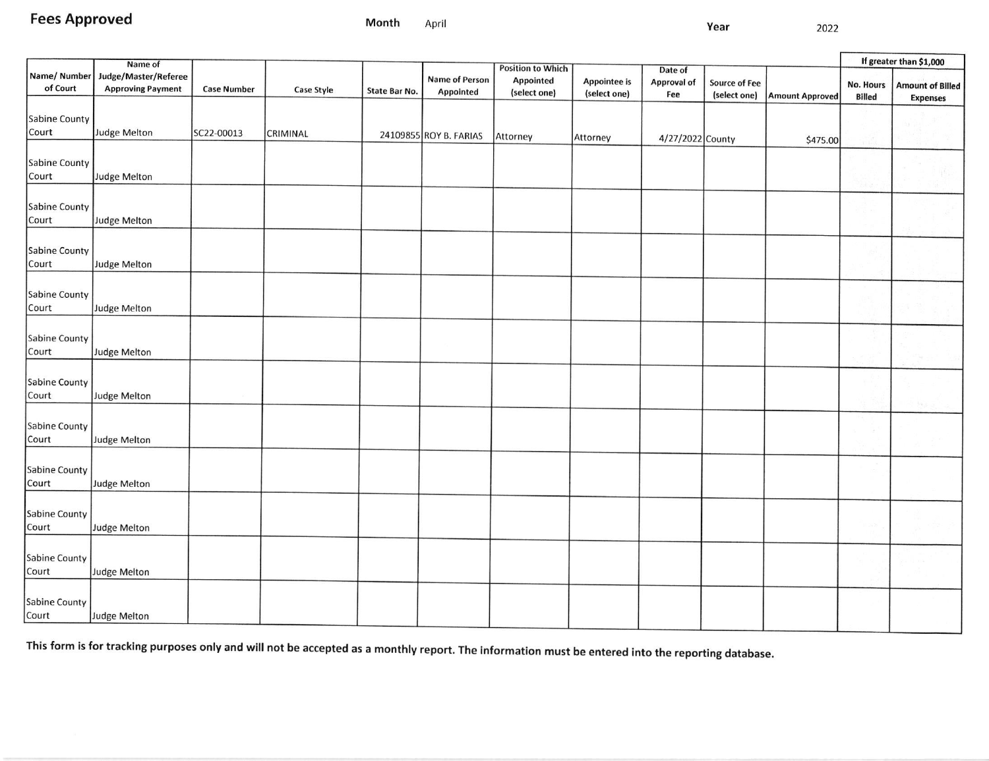**Fees Approved** 

2022

|                               | Name of                                          |                    |                   |               |                                    |                                                              |                                     |                                      |                                      |                        | If greater than \$1,000           |                                            |
|-------------------------------|--------------------------------------------------|--------------------|-------------------|---------------|------------------------------------|--------------------------------------------------------------|-------------------------------------|--------------------------------------|--------------------------------------|------------------------|-----------------------------------|--------------------------------------------|
| Name/Number<br>of Court       | Judge/Master/Referee<br><b>Approving Payment</b> | <b>Case Number</b> | <b>Case Style</b> | State Bar No. | <b>Name of Person</b><br>Appointed | <b>Position to Which</b><br><b>Appointed</b><br>(select one) | <b>Appointee is</b><br>(select one) | Date of<br><b>Approval of</b><br>Fee | <b>Source of Fee</b><br>(select one) | <b>Amount Approved</b> | <b>No. Hours</b><br><b>Billed</b> | <b>Amount of Billed</b><br><b>Expenses</b> |
| <b>Sabine County</b><br>Court | Judge Melton                                     | SC22-00013         | CRIMINAL          |               | 24109855 ROY B. FARIAS             | Attorney                                                     | Attorney                            | 4/27/2022 County                     |                                      |                        |                                   |                                            |
| <b>Sabine County</b><br>Court | Judge Melton                                     |                    |                   |               |                                    |                                                              |                                     |                                      |                                      | \$475.00               |                                   |                                            |
| <b>Sabine County</b><br>Court | Judge Melton                                     |                    |                   |               |                                    |                                                              |                                     |                                      |                                      |                        |                                   |                                            |
| <b>Sabine County</b><br>Court | <b>Judge Melton</b>                              |                    |                   |               |                                    |                                                              |                                     |                                      |                                      |                        |                                   |                                            |
| Sabine County<br>Court        | <b>Judge Melton</b>                              |                    |                   |               |                                    |                                                              |                                     |                                      |                                      |                        |                                   |                                            |
| Sabine County<br>Court        | Judge Melton                                     |                    |                   |               |                                    |                                                              |                                     |                                      |                                      |                        |                                   |                                            |
| Sabine County<br>Court        | Judge Melton                                     |                    |                   |               |                                    |                                                              |                                     |                                      |                                      |                        |                                   |                                            |
| Sabine County<br>Court        | Judge Melton                                     |                    |                   |               |                                    |                                                              |                                     |                                      |                                      |                        |                                   |                                            |
| Sabine County<br>Court        | Judge Melton                                     |                    |                   |               |                                    |                                                              |                                     |                                      |                                      |                        |                                   |                                            |
| Sabine County<br>Court        | Judge Melton                                     |                    |                   |               |                                    |                                                              |                                     |                                      |                                      |                        |                                   |                                            |
| Sabine County<br>Court        | Judge Melton                                     |                    |                   |               |                                    |                                                              |                                     |                                      |                                      |                        |                                   |                                            |
| Sabine County<br>Court        | Judge Melton                                     |                    |                   |               |                                    |                                                              |                                     |                                      |                                      |                        |                                   |                                            |

This form is for tracking purposes only and will not be accepted as a monthly report. The information must be entered into the reporting database.